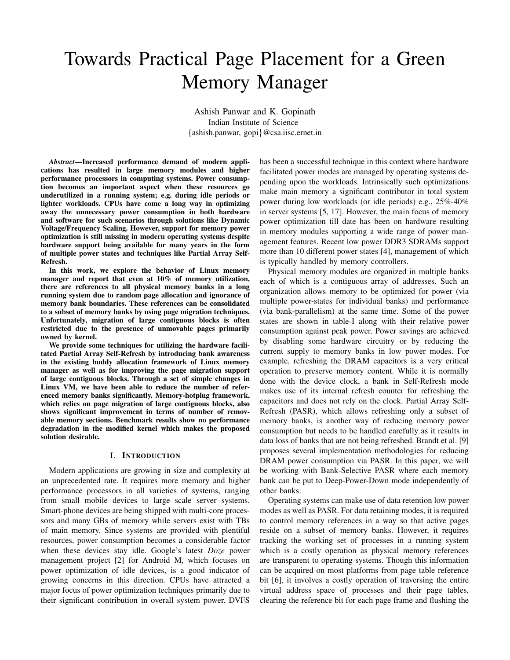# Towards Practical Page Placement for a Green Memory Manager

Ashish Panwar and K. Gopinath Indian Institute of Science *{*ashish.panwar, gopi*}*@csa.iisc.ernet.in

*Abstract*—Increased performance demand of modern applications has resulted in large memory modules and higher performance processors in computing systems. Power consumption becomes an important aspect when these resources go underutilized in a running system; e.g. during idle periods or lighter workloads. CPUs have come a long way in optimizing away the unnecessary power consumption in both hardware and software for such scenarios through solutions like Dynamic Voltage/Frequency Scaling. However, support for memory power optimization is still missing in modern operating systems despite hardware support being available for many years in the form of multiple power states and techniques like Partial Array Self-Refresh.

In this work, we explore the behavior of Linux memory manager and report that even at 10% of memory utilization, there are references to all physical memory banks in a long running system due to random page allocation and ignorance of memory bank boundaries. These references can be consolidated to a subset of memory banks by using page migration techniques. Unfortunately, migration of large contiguous blocks is often restricted due to the presence of unmovable pages primarily owned by kernel.

We provide some techniques for utilizing the hardware facilitated Partial Array Self-Refresh by introducing bank awareness in the existing buddy allocation framework of Linux memory manager as well as for improving the page migration support of large contiguous blocks. Through a set of simple changes in Linux VM, we have been able to reduce the number of referenced memory banks significantly. Memory-hotplug framework, which relies on page migration of large contiguous blocks, also shows significant improvement in terms of number of removable memory sections. Benchmark results show no performance degradation in the modified kernel which makes the proposed solution desirable.

## I. INTRODUCTION

Modern applications are growing in size and complexity at an unprecedented rate. It requires more memory and higher performance processors in all varieties of systems, ranging from small mobile devices to large scale server systems. Smart-phone devices are being shipped with multi-core processors and many GBs of memory while servers exist with TBs of main memory. Since systems are provided with plentiful resources, power consumption becomes a considerable factor when these devices stay idle. Google's latest *Doze* power management project [2] for Android M, which focuses on power optimization of idle devices, is a good indicator of growing concerns in this direction. CPUs have attracted a major focus of power optimization techniques primarily due to their significant contribution in overall system power. DVFS

has been a successful technique in this context where hardware facilitated power modes are managed by operating systems depending upon the workloads. Intrinsically such optimizations make main memory a significant contributor in total system power during low workloads (or idle periods) e.g., 25%-40% in server systems [5, 17]. However, the main focus of memory power optimization till date has been on hardware resulting in memory modules supporting a wide range of power management features. Recent low power DDR3 SDRAMs support more than 10 different power states [4], management of which is typically handled by memory controllers.

Physical memory modules are organized in multiple banks each of which is a contiguous array of addresses. Such an organization allows memory to be optimized for power (via multiple power-states for individual banks) and performance (via bank-parallelism) at the same time. Some of the power states are shown in table-I along with their relative power consumption against peak power. Power savings are achieved by disabling some hardware circuitry or by reducing the current supply to memory banks in low power modes. For example, refreshing the DRAM capacitors is a very critical operation to preserve memory content. While it is normally done with the device clock, a bank in Self-Refresh mode makes use of its internal refresh counter for refreshing the capacitors and does not rely on the clock. Partial Array Self-Refresh (PASR), which allows refreshing only a subset of memory banks, is another way of reducing memory power consumption but needs to be handled carefully as it results in data loss of banks that are not being refreshed. Brandt et al. [9] proposes several implementation methodologies for reducing DRAM power consumption via PASR. In this paper, we will be working with Bank-Selective PASR where each memory bank can be put to Deep-Power-Down mode independently of other banks.

Operating systems can make use of data retention low power modes as well as PASR. For data retaining modes, it is required to control memory references in a way so that active pages reside on a subset of memory banks. However, it requires tracking the working set of processes in a running system which is a costly operation as physical memory references are transparent to operating systems. Though this information can be acquired on most platforms from page table reference bit [6], it involves a costly operation of traversing the entire virtual address space of processes and their page tables, clearing the reference bit for each page frame and flushing the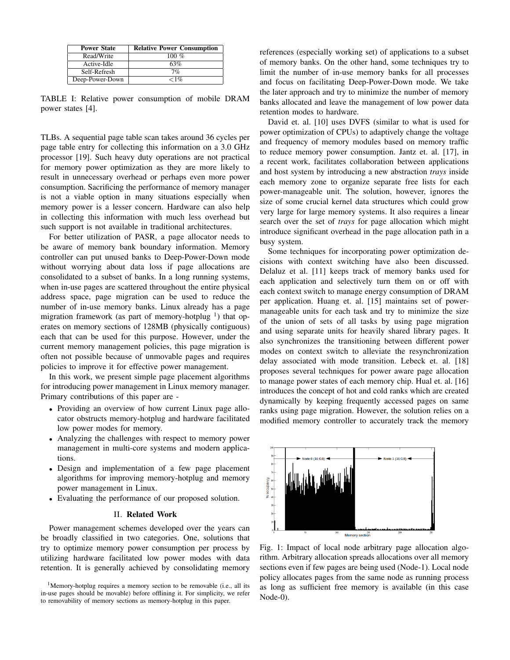| <b>Power State</b> | <b>Relative Power Consumption</b> |
|--------------------|-----------------------------------|
| Read/Write         | 100 $%$                           |
| Active-Idle        | 63%                               |
| Self-Refresh       | 7%                                |
| Deep-Power-Down    | ${<}1\%$                          |

TABLE I: Relative power consumption of mobile DRAM power states [4].

TLBs. A sequential page table scan takes around 36 cycles per page table entry for collecting this information on a 3.0 GHz processor [19]. Such heavy duty operations are not practical for memory power optimization as they are more likely to result in unnecessary overhead or perhaps even more power consumption. Sacrificing the performance of memory manager is not a viable option in many situations especially when memory power is a lesser concern. Hardware can also help in collecting this information with much less overhead but such support is not available in traditional architectures.

For better utilization of PASR, a page allocator needs to be aware of memory bank boundary information. Memory controller can put unused banks to Deep-Power-Down mode without worrying about data loss if page allocations are consolidated to a subset of banks. In a long running systems, when in-use pages are scattered throughout the entire physical address space, page migration can be used to reduce the number of in-use memory banks. Linux already has a page migration framework (as part of memory-hotplug  $<sup>1</sup>$ ) that op-</sup> erates on memory sections of 128MB (physically contiguous) each that can be used for this purpose. However, under the current memory management policies, this page migration is often not possible because of unmovable pages and requires policies to improve it for effective power management.

In this work, we present simple page placement algorithms for introducing power management in Linux memory manager. Primary contributions of this paper are -

- *•* Providing an overview of how current Linux page allocator obstructs memory-hotplug and hardware facilitated low power modes for memory.
- *•* Analyzing the challenges with respect to memory power management in multi-core systems and modern applications.
- *•* Design and implementation of a few page placement algorithms for improving memory-hotplug and memory power management in Linux.
- *•* Evaluating the performance of our proposed solution.

#### II. Related Work

Power management schemes developed over the years can be broadly classified in two categories. One, solutions that try to optimize memory power consumption per process by utilizing hardware facilitated low power modes with data retention. It is generally achieved by consolidating memory references (especially working set) of applications to a subset of memory banks. On the other hand, some techniques try to limit the number of in-use memory banks for all processes and focus on facilitating Deep-Power-Down mode. We take the later approach and try to minimize the number of memory banks allocated and leave the management of low power data retention modes to hardware.

David et. al. [10] uses DVFS (similar to what is used for power optimization of CPUs) to adaptively change the voltage and frequency of memory modules based on memory traffic to reduce memory power consumption. Jantz et. al. [17], in a recent work, facilitates collaboration between applications and host system by introducing a new abstraction *trays* inside each memory zone to organize separate free lists for each power-manageable unit. The solution, however, ignores the size of some crucial kernel data structures which could grow very large for large memory systems. It also requires a linear search over the set of *trays* for page allocation which might introduce significant overhead in the page allocation path in a busy system.

Some techniques for incorporating power optimization decisions with context switching have also been discussed. Delaluz et al. [11] keeps track of memory banks used for each application and selectively turn them on or off with each context switch to manage energy consumption of DRAM per application. Huang et. al. [15] maintains set of powermanageable units for each task and try to minimize the size of the union of sets of all tasks by using page migration and using separate units for heavily shared library pages. It also synchronizes the transitioning between different power modes on context switch to alleviate the resynchronization delay associated with mode transition. Lebeck et. al. [18] proposes several techniques for power aware page allocation to manage power states of each memory chip. Hual et. al. [16] introduces the concept of hot and cold ranks which are created dynamically by keeping frequently accessed pages on same ranks using page migration. However, the solution relies on a modified memory controller to accurately track the memory



Fig. 1: Impact of local node arbitrary page allocation algorithm. Arbitrary allocation spreads allocations over all memory sections even if few pages are being used (Node-1). Local node policy allocates pages from the same node as running process as long as sufficient free memory is available (in this case Node-0).

<sup>&</sup>lt;sup>1</sup>Memory-hotplug requires a memory section to be removable (i.e., all its in-use pages should be movable) before offlining it. For simplicity, we refer to removability of memory sections as memory-hotplug in this paper.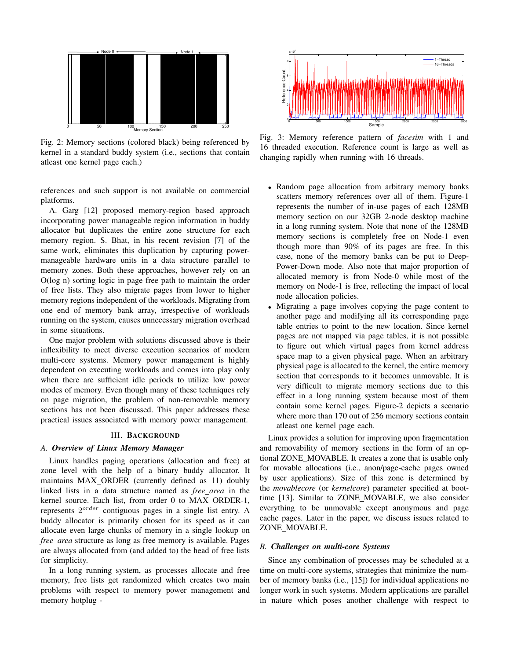

Fig. 2: Memory sections (colored black) being referenced by kernel in a standard buddy system (i.e., sections that contain atleast one kernel page each.)

references and such support is not available on commercial platforms.

A. Garg [12] proposed memory-region based approach incorporating power manageable region information in buddy allocator but duplicates the entire zone structure for each memory region. S. Bhat, in his recent revision [7] of the same work, eliminates this duplication by capturing powermanageable hardware units in a data structure parallel to memory zones. Both these approaches, however rely on an O(log n) sorting logic in page free path to maintain the order of free lists. They also migrate pages from lower to higher memory regions independent of the workloads. Migrating from one end of memory bank array, irrespective of workloads running on the system, causes unnecessary migration overhead in some situations.

One major problem with solutions discussed above is their inflexibility to meet diverse execution scenarios of modern multi-core systems. Memory power management is highly dependent on executing workloads and comes into play only when there are sufficient idle periods to utilize low power modes of memory. Even though many of these techniques rely on page migration, the problem of non-removable memory sections has not been discussed. This paper addresses these practical issues associated with memory power management.

## III. BACKGROUND

# *A. Overview of Linux Memory Manager*

Linux handles paging operations (allocation and free) at zone level with the help of a binary buddy allocator. It maintains MAX ORDER (currently defined as 11) doubly linked lists in a data structure named as *free area* in the kernel source. Each list, from order 0 to MAX ORDER-1, represents 2*order* contiguous pages in a single list entry. A buddy allocator is primarily chosen for its speed as it can allocate even large chunks of memory in a single lookup on *free area* structure as long as free memory is available. Pages are always allocated from (and added to) the head of free lists for simplicity.

In a long running system, as processes allocate and free memory, free lists get randomized which creates two main problems with respect to memory power management and memory hotplug -



Fig. 3: Memory reference pattern of *facesim* with 1 and 16 threaded execution. Reference count is large as well as changing rapidly when running with 16 threads.

- *•* Random page allocation from arbitrary memory banks scatters memory references over all of them. Figure-1 represents the number of in-use pages of each 128MB memory section on our 32GB 2-node desktop machine in a long running system. Note that none of the 128MB memory sections is completely free on Node-1 even though more than 90% of its pages are free. In this case, none of the memory banks can be put to Deep-Power-Down mode. Also note that major proportion of allocated memory is from Node-0 while most of the memory on Node-1 is free, reflecting the impact of local node allocation policies.
- *•* Migrating a page involves copying the page content to another page and modifying all its corresponding page table entries to point to the new location. Since kernel pages are not mapped via page tables, it is not possible to figure out which virtual pages from kernel address space map to a given physical page. When an arbitrary physical page is allocated to the kernel, the entire memory section that corresponds to it becomes unmovable. It is very difficult to migrate memory sections due to this effect in a long running system because most of them contain some kernel pages. Figure-2 depicts a scenario where more than 170 out of 256 memory sections contain atleast one kernel page each.

Linux provides a solution for improving upon fragmentation and removability of memory sections in the form of an optional ZONE\_MOVABLE. It creates a zone that is usable only for movable allocations (i.e., anon/page-cache pages owned by user applications). Size of this zone is determined by the *movablecore* (or *kernelcore*) parameter specified at boottime [13]. Similar to ZONE MOVABLE, we also consider everything to be unmovable except anonymous and page cache pages. Later in the paper, we discuss issues related to ZONE MOVABLE.

#### *B. Challenges on multi-core Systems*

Since any combination of processes may be scheduled at a time on multi-core systems, strategies that minimize the number of memory banks (i.e., [15]) for individual applications no longer work in such systems. Modern applications are parallel in nature which poses another challenge with respect to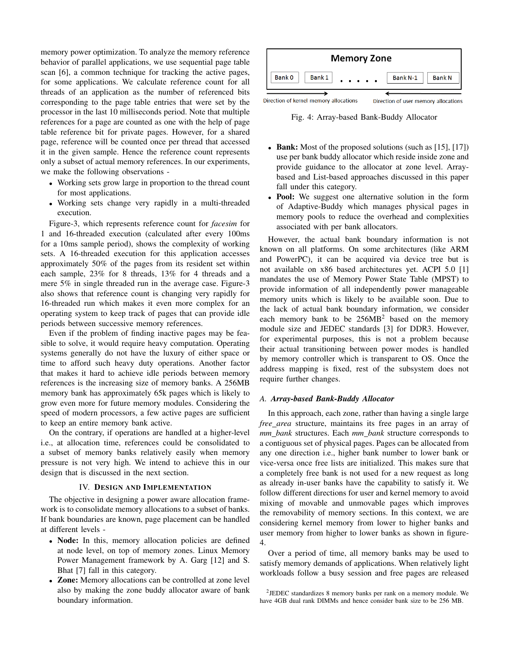memory power optimization. To analyze the memory reference behavior of parallel applications, we use sequential page table scan [6], a common technique for tracking the active pages, for some applications. We calculate reference count for all threads of an application as the number of referenced bits corresponding to the page table entries that were set by the processor in the last 10 milliseconds period. Note that multiple references for a page are counted as one with the help of page table reference bit for private pages. However, for a shared page, reference will be counted once per thread that accessed it in the given sample. Hence the reference count represents only a subset of actual memory references. In our experiments, we make the following observations -

- *•* Working sets grow large in proportion to the thread count for most applications.
- *•* Working sets change very rapidly in a multi-threaded execution.

Figure-3, which represents reference count for *facesim* for 1 and 16-threaded execution (calculated after every 100ms for a 10ms sample period), shows the complexity of working sets. A 16-threaded execution for this application accesses approximately 50% of the pages from its resident set within each sample, 23% for 8 threads, 13% for 4 threads and a mere 5% in single threaded run in the average case. Figure-3 also shows that reference count is changing very rapidly for 16-threaded run which makes it even more complex for an operating system to keep track of pages that can provide idle periods between successive memory references.

Even if the problem of finding inactive pages may be feasible to solve, it would require heavy computation. Operating systems generally do not have the luxury of either space or time to afford such heavy duty operations. Another factor that makes it hard to achieve idle periods between memory references is the increasing size of memory banks. A 256MB memory bank has approximately 65k pages which is likely to grow even more for future memory modules. Considering the speed of modern processors, a few active pages are sufficient to keep an entire memory bank active.

On the contrary, if operations are handled at a higher-level i.e., at allocation time, references could be consolidated to a subset of memory banks relatively easily when memory pressure is not very high. We intend to achieve this in our design that is discussed in the next section.

#### IV. DESIGN AND IMPLEMENTATION

The objective in designing a power aware allocation framework is to consolidate memory allocations to a subset of banks. If bank boundaries are known, page placement can be handled at different levels -

- Node: In this, memory allocation policies are defined at node level, on top of memory zones. Linux Memory Power Management framework by A. Garg [12] and S. Bhat [7] fall in this category.
- **Zone:** Memory allocations can be controlled at zone level also by making the zone buddy allocator aware of bank boundary information.



Fig. 4: Array-based Bank-Buddy Allocator

- Bank: Most of the proposed solutions (such as [15], [17]) use per bank buddy allocator which reside inside zone and provide guidance to the allocator at zone level. Arraybased and List-based approaches discussed in this paper fall under this category.
- *•* Pool: We suggest one alternative solution in the form of Adaptive-Buddy which manages physical pages in memory pools to reduce the overhead and complexities associated with per bank allocators.

However, the actual bank boundary information is not known on all platforms. On some architectures (like ARM and PowerPC), it can be acquired via device tree but is not available on x86 based architectures yet. ACPI 5.0 [1] mandates the use of Memory Power State Table (MPST) to provide information of all independently power manageable memory units which is likely to be available soon. Due to the lack of actual bank boundary information, we consider each memory bank to be  $256MB^2$  based on the memory module size and JEDEC standards [3] for DDR3. However, for experimental purposes, this is not a problem because their actual transitioning between power modes is handled by memory controller which is transparent to OS. Once the address mapping is fixed, rest of the subsystem does not require further changes.

## *A. Array-based Bank-Buddy Allocator*

In this approach, each zone, rather than having a single large *free area* structure, maintains its free pages in an array of *mm bank* structures. Each *mm bank* structure corresponds to a contiguous set of physical pages. Pages can be allocated from any one direction i.e., higher bank number to lower bank or vice-versa once free lists are initialized. This makes sure that a completely free bank is not used for a new request as long as already in-user banks have the capability to satisfy it. We follow different directions for user and kernel memory to avoid mixing of movable and unmovable pages which improves the removability of memory sections. In this context, we are considering kernel memory from lower to higher banks and user memory from higher to lower banks as shown in figure-4.

Over a period of time, all memory banks may be used to satisfy memory demands of applications. When relatively light workloads follow a busy session and free pages are released

<sup>2</sup>JEDEC standardizes 8 memory banks per rank on a memory module. We have 4GB dual rank DIMMs and hence consider bank size to be 256 MB.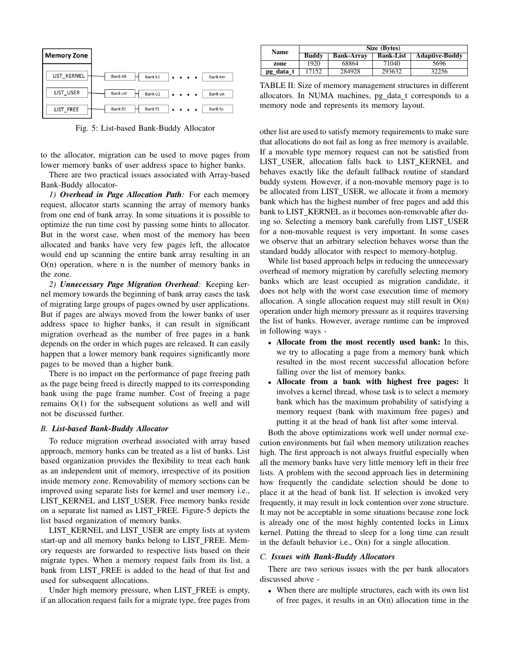| <b>Memory Zone</b> |                                                                                                                                         |                |
|--------------------|-----------------------------------------------------------------------------------------------------------------------------------------|----------------|
| LIST_KERNEL        | Bank k <sub>0</sub><br>Bank k1<br>$\begin{array}{cccccccccccccc} \bullet & \bullet & \bullet & \bullet & \bullet & \bullet \end{array}$ | <b>Bank km</b> |
| LIST USER          | Bank u0<br>Bank u1<br>.                                                                                                                 | <b>Bank un</b> |
| LIST FREE          | Bank f1<br><b>Bank fO</b><br>$\cdots$                                                                                                   | <b>Bank fp</b> |

Fig. 5: List-based Bank-Buddy Allocator

to the allocator, migration can be used to move pages from lower memory banks of user address space to higher banks.

There are two practical issues associated with Array-based Bank-Buddy allocator-

*1) Overhead in Page Allocation Path:* For each memory request, allocator starts scanning the array of memory banks from one end of bank array. In some situations it is possible to optimize the run time cost by passing some hints to allocator. But in the worst case, when most of the memory has been allocated and banks have very few pages left, the allocator would end up scanning the entire bank array resulting in an  $O(n)$  operation, where n is the number of memory banks in the zone.

*2) Unnecessary Page Migration Overhead:* Keeping kernel memory towards the beginning of bank array eases the task of migrating large groups of pages owned by user applications. But if pages are always moved from the lower banks of user address space to higher banks, it can result in significant migration overhead as the number of free pages in a bank depends on the order in which pages are released. It can easily happen that a lower memory bank requires significantly more pages to be moved than a higher bank.

There is no impact on the performance of page freeing path as the page being freed is directly mapped to its corresponding bank using the page frame number. Cost of freeing a page remains O(1) for the subsequent solutions as well and will not be discussed further.

#### *B. List-based Bank-Buddy Allocator*

To reduce migration overhead associated with array based approach, memory banks can be treated as a list of banks. List based organization provides the flexibility to treat each bank as an independent unit of memory, irrespective of its position inside memory zone. Removability of memory sections can be improved using separate lists for kernel and user memory i.e., LIST KERNEL and LIST USER. Free memory banks reside on a separate list named as LIST FREE. Figure-5 depicts the list based organization of memory banks.

LIST\_KERNEL and LIST\_USER are empty lists at system start-up and all memory banks belong to LIST\_FREE. Memory requests are forwarded to respective lists based on their migrate types. When a memory request fails from its list, a bank from LIST\_FREE is added to the head of that list and used for subsequent allocations.

Under high memory pressure, when LIST\_FREE is empty, if an allocation request fails for a migrate type, free pages from

| Name      | Size (Bytes) |                   |                  |                       |  |  |
|-----------|--------------|-------------------|------------------|-----------------------|--|--|
|           | <b>Buddy</b> | <b>Bank-Arrav</b> | <b>Bank-List</b> | <b>Adaptive-Buddy</b> |  |  |
| zone      | 1920         | 68864             | 71040            | 5696                  |  |  |
| pg_data_t | 7152         | 284928            | 293632           | 32256                 |  |  |

TABLE II: Size of memory management structures in different allocators. In NUMA machines, pg\_data\_t corresponds to a memory node and represents its memory layout.

other list are used to satisfy memory requirements to make sure that allocations do not fail as long as free memory is available. If a movable type memory request can not be satisfied from LIST USER, allocation falls back to LIST KERNEL and behaves exactly like the default fallback routine of standard buddy system. However, if a non-movable memory page is to be allocated from LIST\_USER, we allocate it from a memory bank which has the highest number of free pages and add this bank to LIST KERNEL as it becomes non-removable after doing so. Selecting a memory bank carefully from LIST USER for a non-movable request is very important. In some cases we observe that an arbitrary selection behaves worse than the standard buddy allocator with respect to memory-hotplug.

While list based approach helps in reducing the unnecessary overhead of memory migration by carefully selecting memory banks which are least occupied as migration candidate, it does not help with the worst case execution time of memory allocation. A single allocation request may still result in  $O(n)$ operation under high memory pressure as it requires traversing the list of banks. However, average runtime can be improved in following ways -

- Allocate from the most recently used bank: In this, we try to allocating a page from a memory bank which resulted in the most recent successful allocation before falling over the list of memory banks.
- *•* Allocate from a bank with highest free pages: It involves a kernel thread, whose task is to select a memory bank which has the maximum probability of satisfying a memory request (bank with maximum free pages) and putting it at the head of bank list after some interval.

Both the above optimizations work well under normal execution environments but fail when memory utilization reaches high. The first approach is not always fruitful especially when all the memory banks have very little memory left in their free lists. A problem with the second approach lies in determining how frequently the candidate selection should be done to place it at the head of bank list. If selection is invoked very frequently, it may result in lock contention over zone structure. It may not be acceptable in some situations because zone lock is already one of the most highly contented locks in Linux kernel. Putting the thread to sleep for a long time can result in the default behavior i.e., O(n) for a single allocation.

## *C. Issues with Bank-Buddy Allocators*

There are two serious issues with the per bank allocators discussed above -

*•* When there are multiple structures, each with its own list of free pages, it results in an  $O(n)$  allocation time in the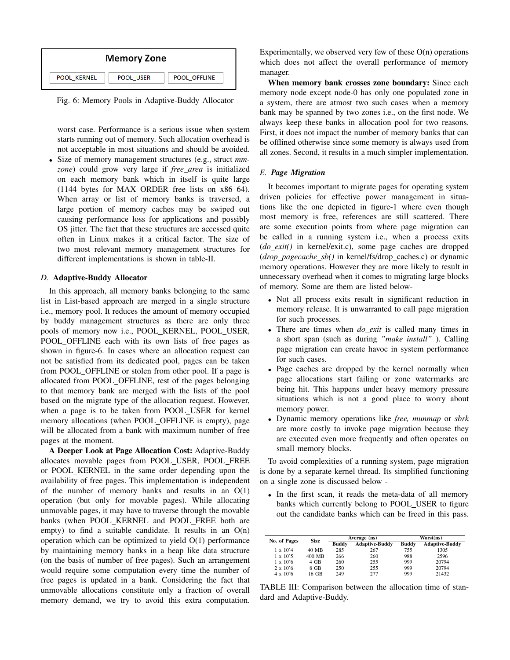

Fig. 6: Memory Pools in Adaptive-Buddy Allocator

worst case. Performance is a serious issue when system starts running out of memory. Such allocation overhead is not acceptable in most situations and should be avoided.

*•* Size of memory management structures (e.g., struct *mmzone*) could grow very large if *free area* is initialized on each memory bank which in itself is quite large (1144 bytes for MAX ORDER free lists on x86 64). When array or list of memory banks is traversed, a large portion of memory caches may be swiped out causing performance loss for applications and possibly OS jitter. The fact that these structures are accessed quite often in Linux makes it a critical factor. The size of two most relevant memory management structures for different implementations is shown in table-II.

## *D.* Adaptive-Buddy Allocator

In this approach, all memory banks belonging to the same list in List-based approach are merged in a single structure i.e., memory pool. It reduces the amount of memory occupied by buddy management structures as there are only three pools of memory now i.e., POOL KERNEL, POOL USER, POOL OFFLINE each with its own lists of free pages as shown in figure-6. In cases where an allocation request can not be satisfied from its dedicated pool, pages can be taken from POOL OFFLINE or stolen from other pool. If a page is allocated from POOL OFFLINE, rest of the pages belonging to that memory bank are merged with the lists of the pool based on the migrate type of the allocation request. However, when a page is to be taken from POOL USER for kernel memory allocations (when POOL OFFLINE is empty), page will be allocated from a bank with maximum number of free pages at the moment.

A Deeper Look at Page Allocation Cost: Adaptive-Buddy allocates movable pages from POOL USER, POOL FREE or POOL KERNEL in the same order depending upon the availability of free pages. This implementation is independent of the number of memory banks and results in an  $O(1)$ operation (but only for movable pages). While allocating unmovable pages, it may have to traverse through the movable banks (when POOL KERNEL and POOL FREE both are empty) to find a suitable candidate. It results in an  $O(n)$ operation which can be optimized to yield O(1) performance by maintaining memory banks in a heap like data structure (on the basis of number of free pages). Such an arrangement would require some computation every time the number of free pages is updated in a bank. Considering the fact that unmovable allocations constitute only a fraction of overall memory demand, we try to avoid this extra computation.

Experimentally, we observed very few of these  $O(n)$  operations which does not affect the overall performance of memory manager.

When memory bank crosses zone boundary: Since each memory node except node-0 has only one populated zone in a system, there are atmost two such cases when a memory bank may be spanned by two zones i.e., on the first node. We always keep these banks in allocation pool for two reasons. First, it does not impact the number of memory banks that can be offlined otherwise since some memory is always used from all zones. Second, it results in a much simpler implementation.

# *E. Page Migration*

It becomes important to migrate pages for operating system driven policies for effective power management in situations like the one depicted in figure-1 where even though most memory is free, references are still scattered. There are some execution points from where page migration can be called in a running system i.e., when a process exits (*do exit()* in kernel/exit.c), some page caches are dropped (*drop pagecache sb()* in kernel/fs/drop caches.c) or dynamic memory operations. However they are more likely to result in unnecessary overhead when it comes to migrating large blocks of memory. Some are them are listed below-

- *•* Not all process exits result in significant reduction in memory release. It is unwarranted to call page migration for such processes.
- *•* There are times when *do exit* is called many times in a short span (such as during *"make install"* ). Calling page migration can create havoc in system performance for such cases.
- Page caches are dropped by the kernel normally when page allocations start failing or zone watermarks are being hit. This happens under heavy memory pressure situations which is not a good place to worry about memory power.
- *•* Dynamic memory operations like *free, munmap* or *sbrk* are more costly to invoke page migration because they are executed even more frequently and often operates on small memory blocks.

To avoid complexities of a running system, page migration is done by a separate kernel thread. Its simplified functioning on a single zone is discussed below -

*•* In the first scan, it reads the meta-data of all memory banks which currently belong to POOL USER to figure out the candidate banks which can be freed in this pass.

| No. of Pages           | <b>Size</b> | Average (ns) |                       | Worst(ns)    |                       |
|------------------------|-------------|--------------|-----------------------|--------------|-----------------------|
|                        |             | <b>Buddy</b> | <b>Adaptive-Buddy</b> | <b>Buddy</b> | <b>Adaptive-Buddy</b> |
| $1 \times 10^2$        | 40 MB       | 285          | 267                   | 755          | 1305                  |
| $1 \times 10^{\circ}5$ | 400 MB      | 266          | 260                   | 988          | 2596                  |
| $1 \times 10^{\circ}6$ | $4$ GB      | 260          | 255                   | 999          | 20794                 |
| $2 \times 10^{\circ}6$ | 8 GB        | 250          | 255                   | 999          | 20794                 |
| $4 \times 10^{6}$      | 16 GB       | 249          | 277                   | 999          | 21432                 |

TABLE III: Comparison between the allocation time of standard and Adaptive-Buddy.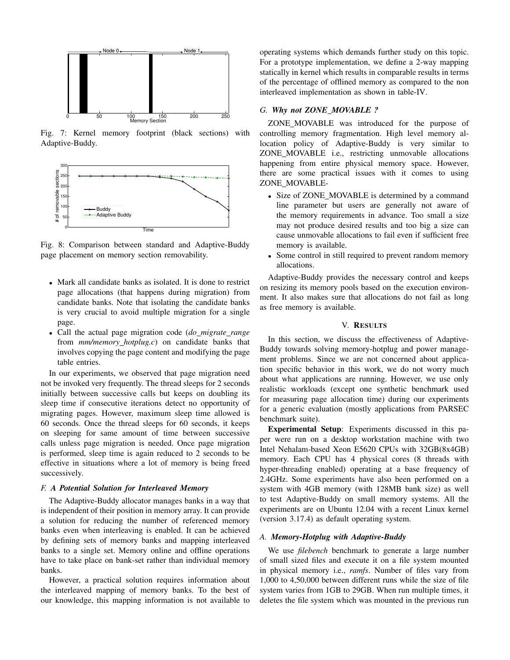

Fig. 7: Kernel memory footprint (black sections) with Adaptive-Buddy.



Fig. 8: Comparison between standard and Adaptive-Buddy page placement on memory section removability.

- *•* Mark all candidate banks as isolated. It is done to restrict page allocations (that happens during migration) from candidate banks. Note that isolating the candidate banks is very crucial to avoid multiple migration for a single page.
- *•* Call the actual page migration code (*do migrate range* from *mm/memory hotplug.c*) on candidate banks that involves copying the page content and modifying the page table entries.

In our experiments, we observed that page migration need not be invoked very frequently. The thread sleeps for 2 seconds initially between successive calls but keeps on doubling its sleep time if consecutive iterations detect no opportunity of migrating pages. However, maximum sleep time allowed is 60 seconds. Once the thread sleeps for 60 seconds, it keeps on sleeping for same amount of time between successive calls unless page migration is needed. Once page migration is performed, sleep time is again reduced to 2 seconds to be effective in situations where a lot of memory is being freed successively.

# *F. A Potential Solution for Interleaved Memory*

The Adaptive-Buddy allocator manages banks in a way that is independent of their position in memory array. It can provide a solution for reducing the number of referenced memory banks even when interleaving is enabled. It can be achieved by defining sets of memory banks and mapping interleaved banks to a single set. Memory online and offline operations have to take place on bank-set rather than individual memory banks.

However, a practical solution requires information about the interleaved mapping of memory banks. To the best of our knowledge, this mapping information is not available to

operating systems which demands further study on this topic. For a prototype implementation, we define a 2-way mapping statically in kernel which results in comparable results in terms of the percentage of offlined memory as compared to the non interleaved implementation as shown in table-IV.

## *G. Why not ZONE MOVABLE ?*

ZONE MOVABLE was introduced for the purpose of controlling memory fragmentation. High level memory allocation policy of Adaptive-Buddy is very similar to ZONE MOVABLE i.e., restricting unmovable allocations happening from entire physical memory space. However, there are some practical issues with it comes to using ZONE\_MOVABLE-

- Size of ZONE MOVABLE is determined by a command line parameter but users are generally not aware of the memory requirements in advance. Too small a size may not produce desired results and too big a size can cause unmovable allocations to fail even if sufficient free memory is available.
- Some control in still required to prevent random memory allocations.

Adaptive-Buddy provides the necessary control and keeps on resizing its memory pools based on the execution environment. It also makes sure that allocations do not fail as long as free memory is available.

## V. RESULTS

In this section, we discuss the effectiveness of Adaptive-Buddy towards solving memory-hotplug and power management problems. Since we are not concerned about application specific behavior in this work, we do not worry much about what applications are running. However, we use only realistic workloads (except one synthetic benchmark used for measuring page allocation time) during our experiments for a generic evaluation (mostly applications from PARSEC benchmark suite).

Experimental Setup: Experiments discussed in this paper were run on a desktop workstation machine with two Intel Nehalam-based Xeon E5620 CPUs with 32GB(8x4GB) memory. Each CPU has 4 physical cores (8 threads with hyper-threading enabled) operating at a base frequency of 2.4GHz. Some experiments have also been performed on a system with 4GB memory (with 128MB bank size) as well to test Adaptive-Buddy on small memory systems. All the experiments are on Ubuntu 12.04 with a recent Linux kernel (version 3.17.4) as default operating system.

## *A. Memory-Hotplug with Adaptive-Buddy*

We use *filebench* benchmark to generate a large number of small sized files and execute it on a file system mounted in physical memory i.e., *ramfs*. Number of files vary from 1,000 to 4,50,000 between different runs while the size of file system varies from 1GB to 29GB. When run multiple times, it deletes the file system which was mounted in the previous run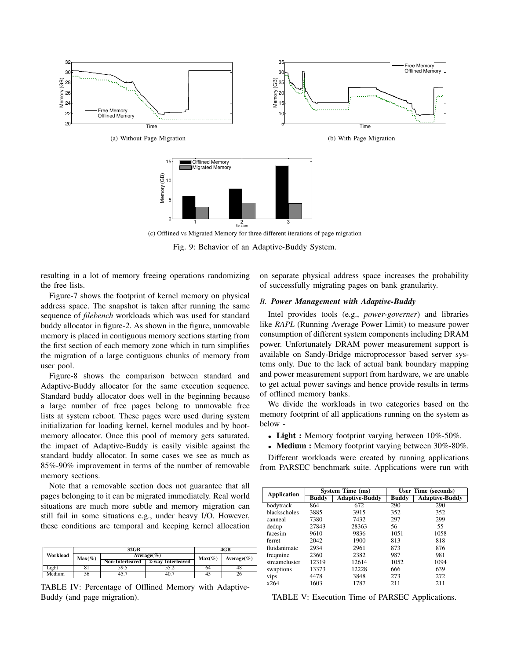

Fig. 9: Behavior of an Adaptive-Buddy System.

resulting in a lot of memory freeing operations randomizing the free lists.

Figure-7 shows the footprint of kernel memory on physical address space. The snapshot is taken after running the same sequence of *filebench* workloads which was used for standard buddy allocator in figure-2. As shown in the figure, unmovable memory is placed in contiguous memory sections starting from the first section of each memory zone which in turn simplifies the migration of a large contiguous chunks of memory from user pool.

Figure-8 shows the comparison between standard and Adaptive-Buddy allocator for the same execution sequence. Standard buddy allocator does well in the beginning because a large number of free pages belong to unmovable free lists at system reboot. These pages were used during system initialization for loading kernel, kernel modules and by bootmemory allocator. Once this pool of memory gets saturated, the impact of Adaptive-Buddy is easily visible against the standard buddy allocator. In some cases we see as much as 85%-90% improvement in terms of the number of removable memory sections.

Note that a removable section does not guarantee that all pages belonging to it can be migrated immediately. Real world situations are much more subtle and memory migration can still fail in some situations e.g., under heavy I/O. However, these conditions are temporal and keeping kernel allocation

|          |           | 32 <sub>GB</sub> | 4GB               |           |                 |
|----------|-----------|------------------|-------------------|-----------|-----------------|
| Workload | $Max(\%)$ |                  | Average $(\%)$    | $Max(\%)$ | Average $(\% )$ |
|          |           | Non-Interleaved  | 2-way Interleaved |           |                 |
| Light    |           | 59.5             | 55.2              | 64        | 48              |
| Medium   | 56        | 45.7             | 40.7              |           |                 |

TABLE IV: Percentage of Offlined Memory with Adaptive-Buddy (and page migration).

on separate physical address space increases the probability of successfully migrating pages on bank granularity.

# *B. Power Management with Adaptive-Buddy*

Intel provides tools (e.g., *power-governer*) and libraries like *RAPL* (Running Average Power Limit) to measure power consumption of different system components including DRAM power. Unfortunately DRAM power measurement support is available on Sandy-Bridge microprocessor based server systems only. Due to the lack of actual bank boundary mapping and power measurement support from hardware, we are unable to get actual power savings and hence provide results in terms of offlined memory banks.

We divide the workloads in two categories based on the memory footprint of all applications running on the system as below -

- Light : Memory footprint varying between 10%-50%.
- **Medium :** Memory footprint varying between 30%-80%.

Different workloads were created by running applications from PARSEC benchmark suite. Applications were run with

| <b>Application</b> |              | System Time (ms)      | User Time (seconds) |                       |  |
|--------------------|--------------|-----------------------|---------------------|-----------------------|--|
|                    | <b>Buddy</b> | <b>Adaptive-Buddy</b> | <b>Buddy</b>        | <b>Adaptive-Buddy</b> |  |
| bodytrack          | 864          | 672                   | 290                 | 290                   |  |
| blackscholes       | 3885         | 3915                  | 352                 | 352                   |  |
| canneal            | 7380         | 7432                  | 297                 | 299                   |  |
| dedup              | 27843        | 28363                 | 56                  | 55                    |  |
| facesim            | 9610         | 9836                  | 1051                | 1058                  |  |
| ferret             | 2042         | 1900                  | 813                 | 818                   |  |
| fluidanimate       | 2934         | 2961                  | 873                 | 876                   |  |
| freqmine           | 2360         | 2382                  | 987                 | 981                   |  |
| streamcluster      | 12319        | 12614                 | 1052                | 1094                  |  |
| swaptions          | 13373        | 12228                 | 666                 | 639                   |  |
| vips               | 4478         | 3848                  | 273                 | 272                   |  |
| x264               | 1603         | 1787                  | 211                 | 211                   |  |

TABLE V: Execution Time of PARSEC Applications.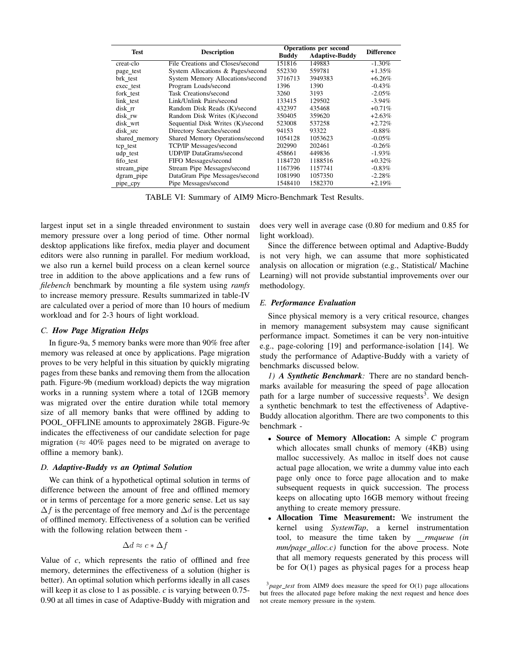| <b>Test</b>   | <b>Description</b>                | <b>Operations per second</b> | <b>Difference</b>     |           |
|---------------|-----------------------------------|------------------------------|-----------------------|-----------|
|               |                                   | <b>Buddy</b>                 | <b>Adaptive-Buddy</b> |           |
| creat-clo     | File Creations and Closes/second  | 151816                       | 149883                | $-1.30\%$ |
| page_test     | System Allocations & Pages/second | 552330                       | 559781                | $+1.35%$  |
| brk test      | System Memory Allocations/second  | 3716713                      | 3949383               | $+6.26%$  |
| exec test     | Program Loads/second              | 1396                         | 1390                  | $-0.43%$  |
| fork test     | Task Creations/second             | 3260                         | 3193                  | $-2.05%$  |
| link test     | Link/Unlink Pairs/second          | 133415                       | 129502                | $-3.94\%$ |
| disk rr       | Random Disk Reads (K)/second      | 432397                       | 435468                | $+0.71%$  |
| disk rw       | Random Disk Writes (K)/second     | 350405                       | 359620                | $+2.63%$  |
| disk wrt      | Sequential Disk Writes (K)/second | 523008                       | 537258                | $+2.72%$  |
| disk src      | Directory Searches/second         | 94153                        | 93322                 | $-0.88\%$ |
| shared_memory | Shared Memory Operations/second   | 1054128                      | 1053623               | $-0.05\%$ |
| tcp_test      | TCP/IP Messages/second            | 202990                       | 202461                | $-0.26%$  |
| udp_test      | <b>UDP/IP DataGrams/second</b>    | 458661                       | 449836                | $-1.93\%$ |
| fifo test     | FIFO Messages/second              | 1184720                      | 1188516               | $+0.32%$  |
| stream_pipe   | Stream Pipe Messages/second       | 1167396                      | 1157741               | $-0.83\%$ |
| dgram pipe    | DataGram Pipe Messages/second     | 1081990                      | 1057350               | $-2.28%$  |
| pipe_cpy      | Pipe Messages/second              | 1548410                      | 1582370               | $+2.19%$  |

TABLE VI: Summary of AIM9 Micro-Benchmark Test Results.

largest input set in a single threaded environment to sustain memory pressure over a long period of time. Other normal desktop applications like firefox, media player and document editors were also running in parallel. For medium workload, we also run a kernel build process on a clean kernel source tree in addition to the above applications and a few runs of *filebench* benchmark by mounting a file system using *ramfs* to increase memory pressure. Results summarized in table-IV are calculated over a period of more than 10 hours of medium workload and for 2-3 hours of light workload.

# *C. How Page Migration Helps*

In figure-9a, 5 memory banks were more than 90% free after memory was released at once by applications. Page migration proves to be very helpful in this situation by quickly migrating pages from these banks and removing them from the allocation path. Figure-9b (medium workload) depicts the way migration works in a running system where a total of 12GB memory was migrated over the entire duration while total memory size of all memory banks that were offlined by adding to POOL OFFLINE amounts to approximately 28GB. Figure-9c indicates the effectiveness of our candidate selection for page migration ( $\approx 40\%$  pages need to be migrated on average to offline a memory bank).

## *D. Adaptive-Buddy vs an Optimal Solution*

We can think of a hypothetical optimal solution in terms of difference between the amount of free and offlined memory or in terms of percentage for a more generic sense. Let us say  $\Delta f$  is the percentage of free memory and  $\Delta d$  is the percentage of offlined memory. Effectiveness of a solution can be verified with the following relation between them -

$$
\Delta d \approx c * \Delta f
$$

Value of *c*, which represents the ratio of offlined and free memory, determines the effectiveness of a solution (higher is better). An optimal solution which performs ideally in all cases will keep it as close to 1 as possible. *c* is varying between 0.75- 0.90 at all times in case of Adaptive-Buddy with migration and

does very well in average case (0.80 for medium and 0.85 for light workload).

Since the difference between optimal and Adaptive-Buddy is not very high, we can assume that more sophisticated analysis on allocation or migration (e.g., Statistical/ Machine Learning) will not provide substantial improvements over our methodology.

## *E. Performance Evaluation*

Since physical memory is a very critical resource, changes in memory management subsystem may cause significant performance impact. Sometimes it can be very non-intuitive e.g., page-coloring [19] and performance-isolation [14]. We study the performance of Adaptive-Buddy with a variety of benchmarks discussed below.

*1) A Synthetic Benchmark:* There are no standard benchmarks available for measuring the speed of page allocation path for a large number of successive requests<sup>3</sup>. We design a synthetic benchmark to test the effectiveness of Adaptive-Buddy allocation algorithm. There are two components to this benchmark -

- *•* Source of Memory Allocation: A simple *C* program which allocates small chunks of memory (4KB) using malloc successively. As malloc in itself does not cause actual page allocation, we write a dummy value into each page only once to force page allocation and to make subsequent requests in quick succession. The process keeps on allocating upto 16GB memory without freeing anything to create memory pressure.
- *•* Allocation Time Measurement: We instrument the kernel using *SystemTap*, a kernel instrumentation tool, to measure the time taken by *\_rmqueue (in mm/page alloc.c)* function for the above process. Note that all memory requests generated by this process will be for  $O(1)$  pages as physical pages for a process heap

<sup>3</sup>*page test* from AIM9 does measure the speed for O(1) page allocations but frees the allocated page before making the next request and hence does not create memory pressure in the system.